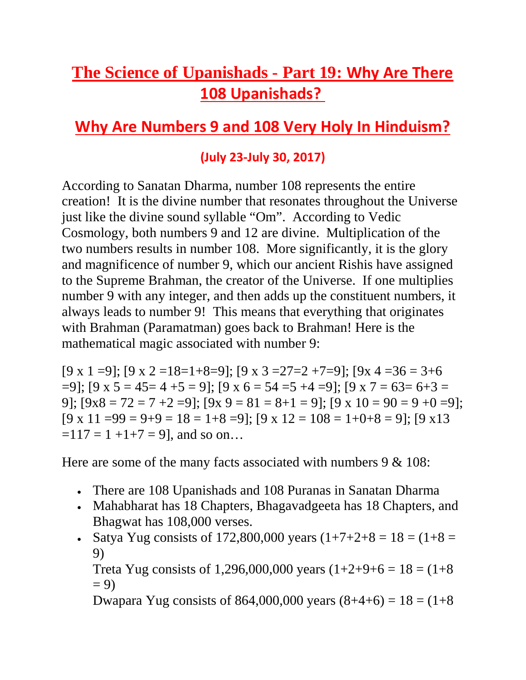## **The Science of Upanishads - Part 19: Why Are There 108 Upanishads?**

## **Why Are Numbers 9 and 108 Very Holy In Hinduism?**

## **(July 23-July 30, 2017)**

According to Sanatan Dharma, number 108 represents the entire creation! It is the divine number that resonates throughout the Universe just like the divine sound syllable "Om". According to Vedic Cosmology, both numbers 9 and 12 are divine. Multiplication of the two numbers results in number 108. More significantly, it is the glory and magnificence of number 9, which our ancient Rishis have assigned to the Supreme Brahman, the creator of the Universe. If one multiplies number 9 with any integer, and then adds up the constituent numbers, it always leads to number 9! This means that everything that originates with Brahman (Paramatman) goes back to Brahman! Here is the mathematical magic associated with number 9:

[9 x 1 =9]; [9 x 2 = 18 = 1+8 = 9]; [9 x 3 = 27 = 2 + 7 = 9]; [9 x 4 = 36 = 3+6  $=9$ ; [9 x 5 = 45 = 4 +5 = 9]; [9 x 6 = 54 = 5 + 4 = 9]; [9 x 7 = 63 = 6 + 3 = 9];  $[9x8 = 72 = 7 + 2 = 9]$ ;  $[9x 9 = 81 = 8 + 1 = 9]$ ;  $[9x 10 = 90 = 9 + 0 = 9]$ ;  $[9 \times 11 = 99 = 9 + 9 = 18 = 1 + 8 = 9$ ;  $[9 \times 12 = 108 = 1 + 0 + 8 = 9$ ;  $[9 \times 13$  $=117 = 1 + 1 + 7 = 9$ , and so on...

Here are some of the many facts associated with numbers 9 & 108:

- There are 108 Upanishads and 108 Puranas in Sanatan Dharma
- Mahabharat has 18 Chapters, Bhagavadgeeta has 18 Chapters, and Bhagwat has 108,000 verses.
- Satya Yug consists of 172,800,000 years  $(1+7+2+8) = 18 = (1+8)$ 9)

Treta Yug consists of 1,296,000,000 years  $(1+2+9+6 = 18 = (1+8$  $= 9$ 

Dwapara Yug consists of 864,000,000 years  $(8+4+6) = 18 = (1+8)$